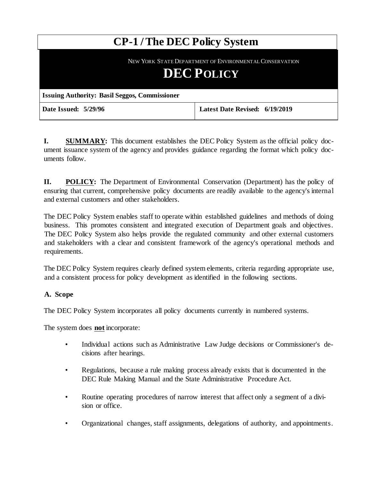# **CP-1 /The DEC Policy System**

NEW YORK STATE DEPARTMENT OF ENVIRONMENTAL CONSERVATION

# **DEC POLICY**

| <b>Issuing Authority: Basil Seggos, Commissioner</b> |                                |
|------------------------------------------------------|--------------------------------|
| Date Issued: 5/29/96                                 | Latest Date Revised: 6/19/2019 |

**I. SUMMARY:** This document establishes the DEC Policy System as the official policy document issuance system of the agency and provides guidance regarding the format which policy documents follow.

**II. POLICY:** The Department of Environmental Conservation (Department) has the policy of ensuring that current, comprehensive policy documents are readily available to the agency's internal and external customers and other stakeholders.

The DEC Policy System enables staff to operate within established guidelines and methods of doing business. This promotes consistent and integrated execution of Department goals and objectives. The DEC Policy System also helps provide the regulated community and other external customers and stakeholders with a clear and consistent framework of the agency's operational methods and requirements.

The DEC Policy System requires clearly defined system elements, criteria regarding appropriate use, and a consistent process for policy development as identified in the following sections.

# **A. Scope**

The DEC Policy System incorporates all policy documents currently in numbered systems.

The system does **not** incorporate:

- Individual actions such as Administrative Law Judge decisions or Commissioner's decisions after hearings.
- Regulations, because a rule making process already exists that is documented in the DEC Rule Making Manual and the State Administrative Procedure Act.
- Routine operating procedures of narrow interest that affect only a segment of a division or office.
- Organizational changes, staff assignments, delegations of authority, and appointments.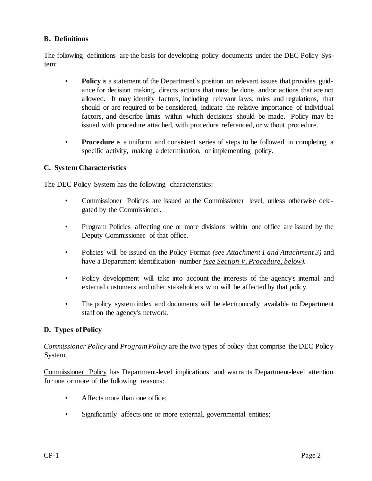# **B. Definitions**

The following definitions are the basis for developing policy documents under the DEC Policy System:

- **Policy** is a statement of the Department's position on relevant issues that provides guidance for decision making, directs actions that must be done, and/or actions that are not allowed. It may identify factors, including relevant laws, rules and regulations, that should or are required to be considered, indicate the relative importance of individual factors, and describe limits within which decisions should be made. Policy may be issued with procedure attached, with procedure referenced, or without procedure.
- **Procedure** is a uniform and consistent series of steps to be followed in completing a specific activity, making a determination, or implementing policy.

#### **C. System Characteristics**

The DEC Policy System has the following characteristics:

- Commissioner Policies are issued at the Commissioner level, unless otherwise delegated by the Commissioner.
- Program Policies affecting one or more divisions within one office are issued by the Deputy Commissioner of that office.
- Policies will be issued on the Policy Format *(see Attachment 1 and Attachment 3)* and have a Department identification number *(see Section V, Procedure, below).*
- Policy development will take into account the interests of the agency's internal and external customers and other stakeholders who will be affected by that policy.
- The policy system index and documents will be electronically available to Department staff on the agency's network.

# **D. Types ofPolicy**

*Commissioner Policy* and *Program Policy* are the two types of policy that comprise the DEC Policy System.

Commissioner Policy has Department-level implications and warrants Department-level attention for one or more of the following reasons:

- Affects more than one office;
- Significantly affects one or more external, governmental entities;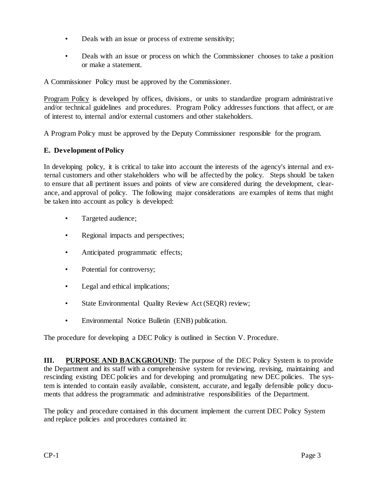- Deals with an issue or process of extreme sensitivity;
- Deals with an issue or process on which the Commissioner chooses to take a position or make a statement.

A Commissioner Policy must be approved by the Commissioner.

Program Policy is developed by offices, divisions, or units to standardize program administrative and/or technical guidelines and procedures. Program Policy addresses functions that affect, or are of interest to, internal and/or external customers and other stakeholders.

A Program Policy must be approved by the Deputy Commissioner responsible for the program.

# **E. Development ofPolicy**

In developing policy, it is critical to take into account the interests of the agency's internal and external customers and other stakeholders who will be affected by the policy. Steps should be taken to ensure that all pertinent issues and points of view are considered during the development, clearance, and approval of policy. The following major considerations are examples of items that might be taken into account as policy is developed:

- Targeted audience;
- Regional impacts and perspectives;
- Anticipated programmatic effects;
- Potential for controversy;
- Legal and ethical implications;
- State Environmental Quality Review Act (SEQR) review;
- Environmental Notice Bulletin (ENB) publication.

The procedure for developing a DEC Policy is outlined in Section V. Procedure.

**III. PURPOSE AND BACKGROUND:** The purpose of the DEC Policy System is to provide the Department and its staff with a comprehensive system for reviewing, revising, maintaining and rescinding existing DEC policies and for developing and promulgating new DEC policies. The system is intended to contain easily available, consistent, accurate, and legally defensible policy documents that address the programmatic and administrative responsibilities of the Department.

The policy and procedure contained in this document implement the current DEC Policy System and replace policies and procedures contained in: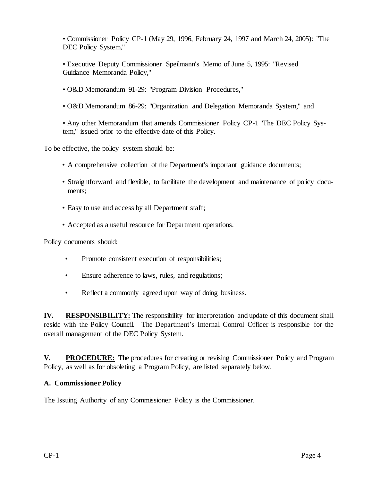• Commissioner Policy CP-1 (May 29, 1996, February 24, 1997 and March 24, 2005): "The DEC Policy System,"

• Executive Deputy Commissioner Speilmann's Memo of June 5, 1995: "Revised Guidance Memoranda Policy,"

- O&D Memorandum 91-29: "Program Division Procedures,"
- O&D Memorandum 86-29: "Organization and Delegation Memoranda System," and

• Any other Memorandum that amends Commissioner Policy CP-1 "The DEC Policy System," issued prior to the effective date of this Policy.

To be effective, the policy system should be:

- A comprehensive collection of the Department's important guidance documents;
- Straightforward and flexible, to facilitate the development and maintenance of policy documents:
- Easy to use and access by all Department staff;
- Accepted as a useful resource for Department operations.

Policy documents should:

- Promote consistent execution of responsibilities;
- Ensure adherence to laws, rules, and regulations;
- Reflect a commonly agreed upon way of doing business.

**IV. RESPONSIBILITY:** The responsibility for interpretation and update of this document shall reside with the Policy Council. The Department's Internal Control Officer is responsible for the overall management of the DEC Policy System.

**V. PROCEDURE:** The procedures for creating or revising Commissioner Policy and Program Policy, as well as for obsoleting a Program Policy, are listed separately below.

#### **A. Commissioner Policy**

The Issuing Authority of any Commissioner Policy is the Commissioner.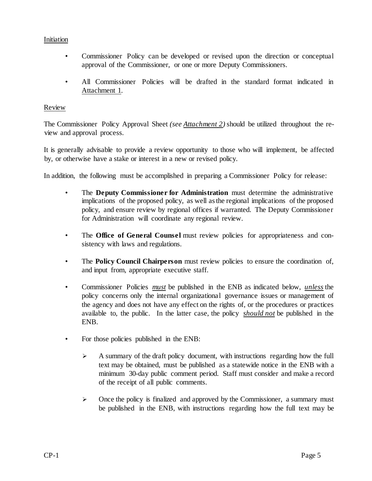#### Initiation

- Commissioner Policy can be developed or revised upon the direction or conceptual approval of the Commissioner, or one or more Deputy Commissioners.
- All Commissioner Policies will be drafted in the standard format indicated in Attachment 1.

#### Review

The Commissioner Policy Approval Sheet *(see Attachment 2)* should be utilized throughout the review and approval process.

It is generally advisable to provide a review opportunity to those who will implement, be affected by, or otherwise have a stake or interest in a new or revised policy.

In addition, the following must be accomplished in preparing a Commissioner Policy for release:

- The **Deputy Commissioner for Administration** must determine the administrative implications of the proposed policy, as well asthe regional implications of the proposed policy, and ensure review by regional offices if warranted. The Deputy Commissioner for Administration will coordinate any regional review.
- The **Office of General Counsel** must review policies for appropriateness and consistency with laws and regulations.
- The **Policy Council Chairperson** must review policies to ensure the coordination of, and input from, appropriate executive staff.
- Commissioner Policies *must* be published in the ENB as indicated below, *unless* the policy concerns only the internal organizational governance issues or management of the agency and does not have any effect on the rights of, or the procedures or practices available to, the public. In the latter case, the policy *should not* be published in the ENB.
- For those policies published in the ENB:
	- $\triangleright$  A summary of the draft policy document, with instructions regarding how the full text may be obtained, must be published as a statewide notice in the ENB with a minimum 30-day public comment period. Staff must consider and make a record of the receipt of all public comments.
	- $\triangleright$  Once the policy is finalized and approved by the Commissioner, a summary must be published in the ENB, with instructions regarding how the full text may be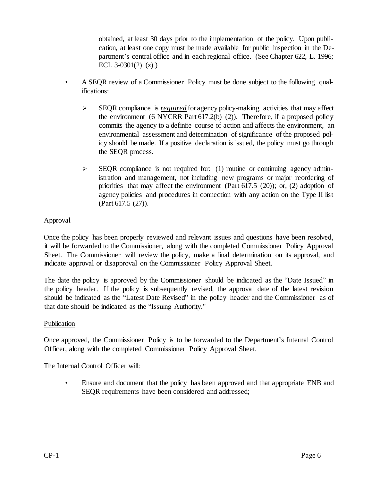obtained, at least 30 days prior to the implementation of the policy. Upon publication, at least one copy must be made available for public inspection in the Department's central office and in each regional office. (See Chapter 622, L. 1996; ECL 3-0301(2) (z).)

- A SEQR review of a Commissioner Policy must be done subject to the following qualifications:
	- ➢ SEQR compliance is *required* for agency policy-making activities that may affect the environment (6 NYCRR Part 617.2(b) (2)). Therefore, if a proposed policy commits the agency to a definite course of action and affects the environment, an environmental assessment and determination of significance of the proposed policy should be made. If a positive declaration is issued, the policy must go through the SEQR process.
	- $\triangleright$  SEQR compliance is not required for: (1) routine or continuing agency administration and management, not including new programs or major reordering of priorities that may affect the environment (Part 617.5 (20)); or, (2) adoption of agency policies and procedures in connection with any action on the Type II list (Part 617.5 (27)).

# Approval

Once the policy has been properly reviewed and relevant issues and questions have been resolved, it will be forwarded to the Commissioner, along with the completed Commissioner Policy Approval Sheet. The Commissioner will review the policy, make a final determination on its approval, and indicate approval or disapproval on the Commissioner Policy Approval Sheet.

The date the policy is approved by the Commissioner should be indicated as the "Date Issued" in the policy header. If the policy is subsequently revised, the approval date of the latest revision should be indicated as the "Latest Date Revised" in the policy header and the Commissioner as of that date should be indicated as the "Issuing Authority."

#### Publication

Once approved, the Commissioner Policy is to be forwarded to the Department's Internal Control Officer, along with the completed Commissioner Policy Approval Sheet.

The Internal Control Officer will:

• Ensure and document that the policy has been approved and that appropriate ENB and SEQR requirements have been considered and addressed;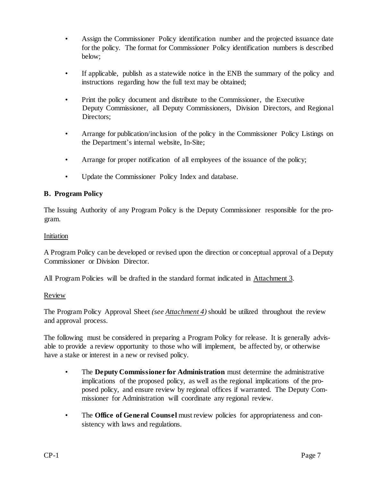- Assign the Commissioner Policy identification number and the projected issuance date for the policy. The format for Commissioner Policy identification numbers is described below;
- If applicable, publish as a statewide notice in the ENB the summary of the policy and instructions regarding how the full text may be obtained;
- Print the policy document and distribute to the Commissioner, the Executive Deputy Commissioner, all Deputy Commissioners, Division Directors, and Regional Directors;
- Arrange for publication/inclusion of the policy in the Commissioner Policy Listings on the Department's internal website, In-Site;
- Arrange for proper notification of all employees of the issuance of the policy;
- Update the Commissioner Policy Index and database.

# **B. Program Policy**

The Issuing Authority of any Program Policy is the Deputy Commissioner responsible for the program.

#### Initiation

A Program Policy can be developed or revised upon the direction or conceptual approval of a Deputy Commissioner or Division Director.

All Program Policies will be drafted in the standard format indicated in Attachment 3.

#### Review

The Program Policy Approval Sheet *(see Attachment 4)* should be utilized throughout the review and approval process.

The following must be considered in preparing a Program Policy for release. It is generally advisable to provide a review opportunity to those who will implement, be affected by, or otherwise have a stake or interest in a new or revised policy.

- The **Deputy Commissioner for Administration** must determine the administrative implications of the proposed policy, as well as the regional implications of the proposed policy, and ensure review by regional offices if warranted. The Deputy Commissioner for Administration will coordinate any regional review.
- The **Office of General Counsel** must review policies for appropriateness and consistency with laws and regulations.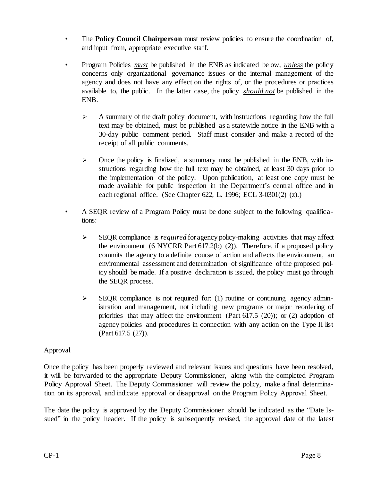- The **Policy Council Chairperson** must review policies to ensure the coordination of, and input from, appropriate executive staff.
- Program Policies *must* be published in the ENB as indicated below, *unless* the policy concerns only organizational governance issues or the internal management of the agency and does not have any effect on the rights of, or the procedures or practices available to, the public. In the latter case, the policy *should not* be published in the ENB.
	- ➢ A summary of the draft policy document, with instructions regarding how the full text may be obtained, must be published as a statewide notice in the ENB with a 30-day public comment period. Staff must consider and make a record of the receipt of all public comments.
	- ➢ Once the policy is finalized, a summary must be published in the ENB, with instructions regarding how the full text may be obtained, at least 30 days prior to the implementation of the policy. Upon publication, at least one copy must be made available for public inspection in the Department's central office and in each regional office. (See Chapter 622, L. 1996; ECL 3-0301(2) (z).)
- A SEQR review of a Program Policy must be done subject to the following qualifications:
	- ➢ SEQR compliance is *required* for agency policy-making activities that may affect the environment (6 NYCRR Part 617.2(b) (2)). Therefore, if a proposed policy commits the agency to a definite course of action and affects the environment, an environmental assessment and determination of significance of the proposed policy should be made. If a positive declaration is issued, the policy must go through the SEQR process.
	- $\triangleright$  SEQR compliance is not required for: (1) routine or continuing agency administration and management, not including new programs or major reordering of priorities that may affect the environment (Part 617.5 (20)); or (2) adoption of agency policies and procedures in connection with any action on the Type II list (Part 617.5 (27)).

# Approval

Once the policy has been properly reviewed and relevant issues and questions have been resolved, it will be forwarded to the appropriate Deputy Commissioner, along with the completed Program Policy Approval Sheet. The Deputy Commissioner will review the policy, make a final determination on its approval, and indicate approval or disapproval on the Program Policy Approval Sheet.

The date the policy is approved by the Deputy Commissioner should be indicated as the "Date Issued" in the policy header. If the policy is subsequently revised, the approval date of the latest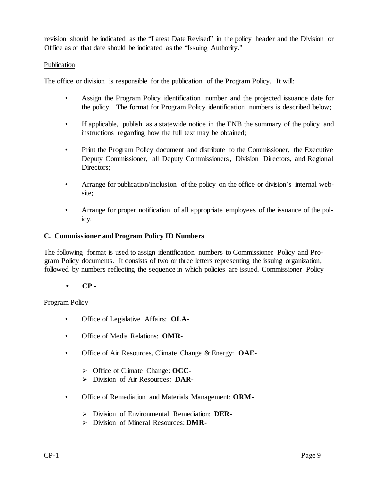revision should be indicated as the "Latest Date Revised" in the policy header and the Division or Office as of that date should be indicated as the "Issuing Authority."

#### Publication

The office or division is responsible for the publication of the Program Policy. It will:

- Assign the Program Policy identification number and the projected issuance date for the policy. The format for Program Policy identification numbers is described below;
- If applicable, publish as a statewide notice in the ENB the summary of the policy and instructions regarding how the full text may be obtained;
- Print the Program Policy document and distribute to the Commissioner, the Executive Deputy Commissioner, all Deputy Commissioners, Division Directors, and Regional Directors;
- Arrange for publication/inclusion of the policy on the office or division's internal website;
- Arrange for proper notification of all appropriate employees of the issuance of the policy.

#### **C. Commissioner and Program Policy ID Numbers**

The following format is used to assign identification numbers to Commissioner Policy and Program Policy documents. It consists of two or three letters representing the issuing organization, followed by numbers reflecting the sequence in which policies are issued. Commissioner Policy

**• CP -**

#### Program Policy

- Office of Legislative Affairs: **OLA-**
- Office of Media Relations: **OMR-**
- Office of Air Resources, Climate Change & Energy: **OAE-**
	- ➢ Office of Climate Change: **OCC**-
	- ➢ Division of Air Resources: **DAR-**
- Office of Remediation and Materials Management: **ORM-**
	- ➢ Division of Environmental Remediation: **DER-**
	- ➢ Division of Mineral Resources: **DMR-**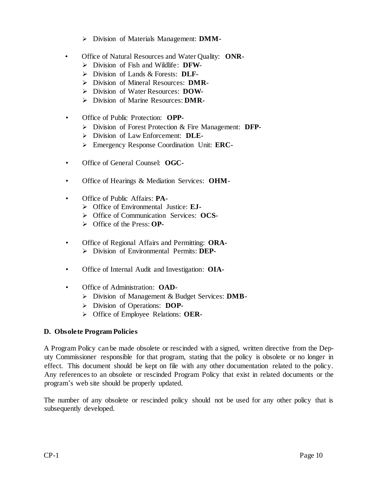- ➢ Division of Materials Management: **DMM-**
- Office of Natural Resources and Water Quality: **ONR-**
	- ➢ Division of Fish and Wildlife: **DFW**-
	- ➢ Division of Lands & Forests: **DLF-**
	- ➢ Division of Mineral Resources: **DMR-**
	- ➢ Division of Water Resources: **DOW-**
	- ➢ Division of Marine Resources: **DMR-**
- Office of Public Protection: **OPP-**
	- ➢ Division of Forest Protection & Fire Management: **DFP-**
	- ➢ Division of Law Enforcement: **DLE-**
	- ➢ Emergency Response Coordination Unit: **ERC-**
- Office of General Counsel: **OGC-**
- Office of Hearings & Mediation Services: **OHM-**
- Office of Public Affairs: **PA-**
	- ➢ Office of Environmental Justice: **EJ-**
	- ➢ Office of Communication Services: **OCS-**
	- ➢ Office of the Press: **OP-**
- Office of Regional Affairs and Permitting: **ORA-** ➢ Division of Environmental Permits: **DEP-**
- Office of Internal Audit and Investigation: **OIA-**
- Office of Administration: **OAD-**
	- ➢ Division of Management & Budget Services: **DMB-**
	- ➢ Division of Operations: **DOP-**
	- ➢ Office of Employee Relations: **OER-**

#### **D. Obsolete Program Policies**

A Program Policy can be made obsolete or rescinded with a signed, written directive from the Deputy Commissioner responsible for that program, stating that the policy is obsolete or no longer in effect. This document should be kept on file with any other documentation related to the policy. Any references to an obsolete or rescinded Program Policy that exist in related documents or the program's web site should be properly updated.

The number of any obsolete or rescinded policy should not be used for any other policy that is subsequently developed.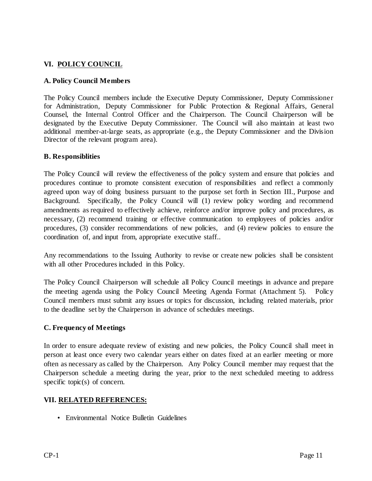# **VI. POLICY COUNCIL**

# **A. Policy Council Members**

The Policy Council members include the Executive Deputy Commissioner, Deputy Commissioner for Administration, Deputy Commissioner for Public Protection & Regional Affairs, General Counsel, the Internal Control Officer and the Chairperson. The Council Chairperson will be designated by the Executive Deputy Commissioner. The Council will also maintain at least two additional member-at-large seats, as appropriate (e.g., the Deputy Commissioner and the Division Director of the relevant program area).

#### **B. Responsiblities**

The Policy Council will review the effectiveness of the policy system and ensure that policies and procedures continue to promote consistent execution of responsibilities and reflect a commonly agreed upon way of doing business pursuant to the purpose set forth in Section III., Purpose and Background. Specifically, the Policy Council will (1) review policy wording and recommend amendments as required to effectively achieve, reinforce and/or improve policy and procedures, as necessary, (2) recommend training or effective communication to employees of policies and/or procedures, (3) consider recommendations of new policies, and (4) review policies to ensure the coordination of, and input from, appropriate executive staff..

Any recommendations to the Issuing Authority to revise or create new policies shall be consistent with all other Procedures included in this Policy.

The Policy Council Chairperson will schedule all Policy Council meetings in advance and prepare the meeting agenda using the Policy Council Meeting Agenda Format (Attachment 5). Policy Council members must submit any issues or topics for discussion, including related materials, prior to the deadline set by the Chairperson in advance of schedules meetings.

# **C. Frequency of Meetings**

In order to ensure adequate review of existing and new policies, the Policy Council shall meet in person at least once every two calendar years either on dates fixed at an earlier meeting or more often as necessary as called by the Chairperson. Any Policy Council member may request that the Chairperson schedule a meeting during the year, prior to the next scheduled meeting to address specific topic(s) of concern.

#### **VII. RELATED REFERENCES:**

• Environmental Notice Bulletin Guidelines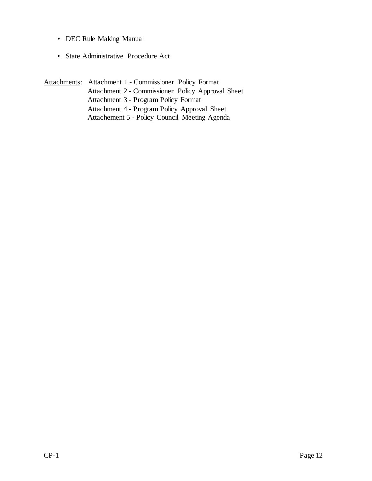- DEC Rule Making Manual
- State Administrative Procedure Act

Attachments: Attachment 1 - Commissioner Policy Format Attachment 2 - Commissioner Policy Approval Sheet Attachment 3 - Program Policy Format Attachment 4 - Program Policy Approval Sheet Attachement 5 - Policy Council Meeting Agenda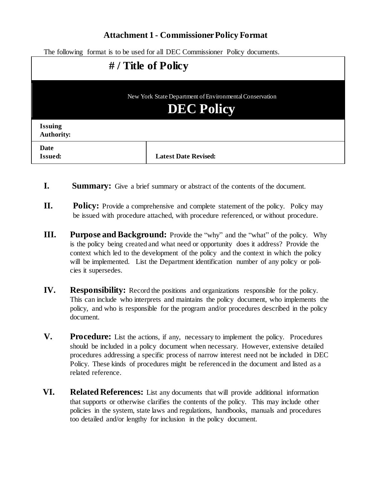# **Attachment 1 - CommissionerPolicy Format**

The following format is to be used for all DEC Commissioner Policy documents.

|                                     | # / Title of Policy                                                          |
|-------------------------------------|------------------------------------------------------------------------------|
|                                     | New York State Department of Environmental Conservation<br><b>DEC Policy</b> |
| <b>Issuing</b><br><b>Authority:</b> |                                                                              |
| Date<br><b>Issued:</b>              | <b>Latest Date Revised:</b>                                                  |

- **I. Summary:** Give a brief summary or abstract of the contents of the document.
- **II. Policy:** Provide a comprehensive and complete statement of the policy. Policy may be issued with procedure attached, with procedure referenced, or without procedure.
- **III. Purpose and Background:** Provide the "why" and the "what" of the policy. Why is the policy being created and what need or opportunity does it address? Provide the context which led to the development of the policy and the context in which the policy will be implemented. List the Department identification number of any policy or policies it supersedes.
- **IV. Responsibility:** Record the positions and organizations responsible for the policy. This can include who interprets and maintains the policy document, who implements the policy, and who is responsible for the program and/or procedures described in the policy document.
- **V. Procedure:** List the actions, if any, necessary to implement the policy. Procedures should be included in a policy document when necessary. However, extensive detailed procedures addressing a specific process of narrow interest need not be included in DEC Policy. These kinds of procedures might be referenced in the document and listed as a related reference.
- **VI. Related References:** List any documents that will provide additional information that supports or otherwise clarifies the contents of the policy. This may include other policies in the system, state laws and regulations, handbooks, manuals and procedures too detailed and/or lengthy for inclusion in the policy document.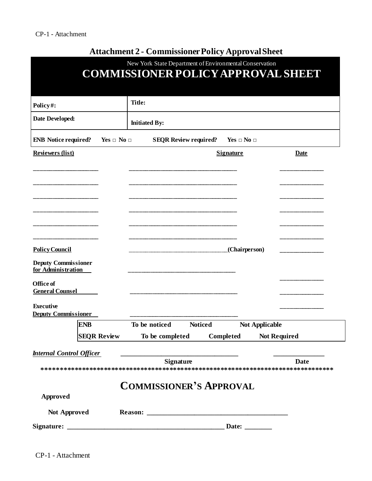# **Attachment 2 - CommissionerPolicy ApprovalSheet**

|                                                  |                      | New York State Department of Environmental Conservation<br><b>COMMISSIONER POLICY APPROVAL SHEET</b> |                    |                       |  |
|--------------------------------------------------|----------------------|------------------------------------------------------------------------------------------------------|--------------------|-----------------------|--|
| Policy#:                                         |                      | Title:                                                                                               |                    |                       |  |
| Date Developed:                                  |                      | <b>Initiated By:</b>                                                                                 |                    |                       |  |
| <b>ENB</b> Notice required?                      | Yes $\Box$ No $\Box$ | <b>SEQR Review required?</b>                                                                         | $Yes \Box No \Box$ |                       |  |
| <b>Reviewers (list)</b>                          |                      |                                                                                                      | <b>Signature</b>   | <b>Date</b>           |  |
|                                                  |                      |                                                                                                      |                    |                       |  |
|                                                  |                      |                                                                                                      |                    |                       |  |
|                                                  |                      |                                                                                                      |                    |                       |  |
|                                                  |                      |                                                                                                      |                    |                       |  |
| <b>Policy Council</b>                            |                      |                                                                                                      | (Chairperson)      |                       |  |
| <b>Deputy Commissioner</b><br>for Administration |                      |                                                                                                      |                    |                       |  |
| Office of<br><b>General Counsel</b>              |                      |                                                                                                      |                    |                       |  |
| Executive<br><b>Deputy Commissioner</b>          |                      |                                                                                                      |                    |                       |  |
|                                                  | <b>ENB</b>           | To be noticed                                                                                        | <b>Noticed</b>     | <b>Not Applicable</b> |  |
|                                                  | <b>SEQR Review</b>   | To be completed                                                                                      | Completed          | <b>Not Required</b>   |  |
| <b>Internal Control Officer</b>                  |                      |                                                                                                      |                    |                       |  |
|                                                  |                      | <b>Signature</b>                                                                                     |                    | <b>Date</b>           |  |
|                                                  |                      | <b>COMMISSIONER'S APPROVAL</b>                                                                       |                    |                       |  |
| <b>Approved</b>                                  |                      |                                                                                                      |                    |                       |  |
| Not Approved                                     |                      |                                                                                                      |                    |                       |  |
|                                                  |                      |                                                                                                      |                    |                       |  |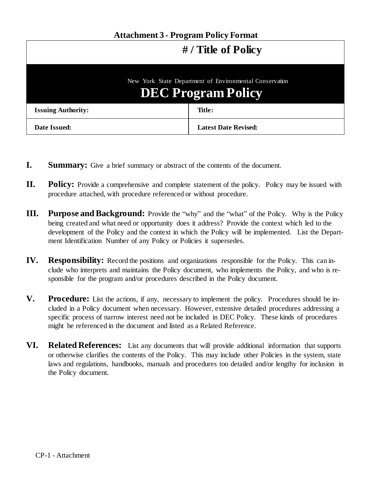# **Attachment 3 - Program Policy Format**

|                                                                                      | # / Title of Policy         |  |
|--------------------------------------------------------------------------------------|-----------------------------|--|
| New York State Department of Environmental Conservation<br><b>DEC Program Policy</b> |                             |  |
| <b>Issuing Authority:</b>                                                            | Title:                      |  |
| Date Issued:                                                                         | <b>Latest Date Revised:</b> |  |

- **I. Summary:** Give a brief summary or abstract of the contents of the document.
- **II. Policy:** Provide a comprehensive and complete statement of the policy. Policy may be issued with procedure attached, with procedure referenced or without procedure.
- **III. Purpose and Background:** Provide the "why" and the "what" of the Policy. Why is the Policy being created and what need or opportunity does it address? Provide the context which led to the development of the Policy and the context in which the Policy will be implemented. List the Department Identification Number of any Policy or Policies it supersedes.
- **IV. Responsibility:** Record the positions and organizations responsible for the Policy. This can include who interprets and maintains the Policy document, who implements the Policy, and who is responsible for the program and/or procedures described in the Policy document.
- **V. Procedure:** List the actions, if any, necessary to implement the policy. Procedures should be included in a Policy document when necessary. However, extensive detailed procedures addressing a specific process of narrow interest need not be included in DEC Policy. These kinds of procedures might be referenced in the document and listed as a Related Reference.
- **VI. Related References:** List any documents that will provide additional information that supports or otherwise clarifies the contents of the Policy. This may include other Policies in the system, state laws and regulations, handbooks, manuals and procedures too detailed and/or lengthy for inclusion in the Policy document.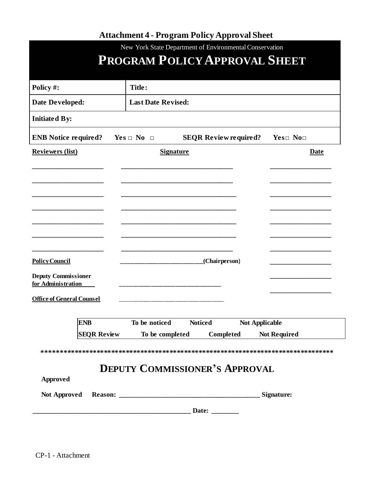|                                                  |                           | <b>Attachment 4 - Program Policy Approval Sheet</b>     |                     |
|--------------------------------------------------|---------------------------|---------------------------------------------------------|---------------------|
|                                                  |                           | New York State Department of Environmental Conservation |                     |
|                                                  |                           | <b>PROGRAM POLICY APPROVAL SHEET</b>                    |                     |
|                                                  |                           |                                                         |                     |
| Policy #:                                        | Title:                    |                                                         |                     |
| Date Developed:                                  | <b>Last Date Revised:</b> |                                                         |                     |
| <b>Initiated By:</b>                             |                           |                                                         |                     |
| <b>ENB Notice required?</b>                      | $Yes \Box No \Box$        | <b>SEQR Review required?</b>                            | $Yes \Box No \Box$  |
| <b>Reviewers (list)</b>                          |                           | <b>Signature</b>                                        | Date                |
|                                                  |                           |                                                         |                     |
|                                                  |                           |                                                         |                     |
|                                                  |                           |                                                         |                     |
|                                                  |                           |                                                         |                     |
|                                                  |                           |                                                         |                     |
|                                                  |                           |                                                         |                     |
|                                                  |                           |                                                         |                     |
| <b>Policy Council</b>                            |                           | (Chairperson)                                           |                     |
| <b>Deputy Commissioner</b><br>for Administration |                           |                                                         |                     |
| <b>Office of General Counsel</b>                 |                           |                                                         |                     |
| <b>ENB</b>                                       | To be noticed             | <b>Noticed</b><br><b>Not Applicable</b>                 |                     |
| <b>SEQR Review</b>                               | To be completed           | Completed                                               | <b>Not Required</b> |
|                                                  |                           |                                                         |                     |
|                                                  |                           | <b>DEPUTY COMMISSIONER'S APPROVAL</b>                   |                     |
| Approved                                         |                           |                                                         |                     |
| Not Approved                                     |                           |                                                         | Signature:          |
|                                                  |                           |                                                         |                     |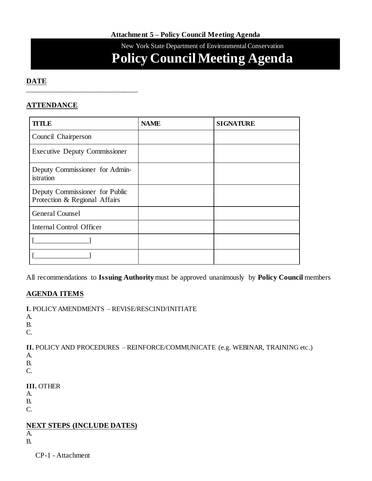New York State Department of Environmental Conservation

# **Policy CouncilMeeting Agenda**

#### **DATE**

# **ATTENDANCE**

\_\_\_\_\_\_\_\_\_\_\_\_\_\_\_\_\_\_\_\_\_\_\_\_\_\_\_\_\_\_\_\_\_

| <b>TITLE</b>                                                    | <b>NAME</b> | <b>SIGNATURE</b> |
|-----------------------------------------------------------------|-------------|------------------|
| Council Chairperson                                             |             |                  |
| <b>Executive Deputy Commissioner</b>                            |             |                  |
| Deputy Commissioner for Admin-<br>istration                     |             |                  |
| Deputy Commissioner for Public<br>Protection & Regional Affairs |             |                  |
| <b>General Counsel</b>                                          |             |                  |
| Internal Control Officer                                        |             |                  |
|                                                                 |             |                  |
|                                                                 |             |                  |

All recommendations to **Issuing Authority** must be approved unanimously by **Policy Council** members

# **AGENDA ITEMS**

**I.** POLICYAMENDMENTS – REVISE/RESCIND/INITIATE A.

- B.
- C.

**II.** POLICYAND PROCEDURES – REINFORCE/COMMUNICATE (e.g. WEBINAR, TRAINING etc.)

- A.
- B.
- C.

# **III.** OTHER

- A.
- B.
- C.

# **NEXT STEPS (INCLUDE DATES)**

- A.
- B.

CP-1 - Attachment